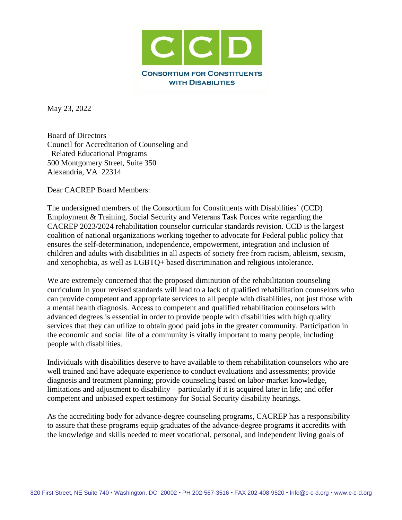

May 23, 2022

Board of Directors Council for Accreditation of Counseling and Related Educational Programs 500 Montgomery Street, Suite 350 Alexandria, VA 22314

Dear CACREP Board Members:

The undersigned members of the Consortium for Constituents with Disabilities' (CCD) Employment & Training, Social Security and Veterans Task Forces write regarding the CACREP 2023/2024 rehabilitation counselor curricular standards revision. CCD is the largest coalition of national organizations working together to advocate for Federal public policy that ensures the self-determination, independence, empowerment, integration and inclusion of children and adults with disabilities in all aspects of society free from racism, ableism, sexism, and xenophobia, as well as LGBTQ+ based discrimination and religious intolerance.

We are extremely concerned that the proposed diminution of the rehabilitation counseling curriculum in your revised standards will lead to a lack of qualified rehabilitation counselors who can provide competent and appropriate services to all people with disabilities, not just those with a mental health diagnosis. Access to competent and qualified rehabilitation counselors with advanced degrees is essential in order to provide people with disabilities with high quality services that they can utilize to obtain good paid jobs in the greater community. Participation in the economic and social life of a community is vitally important to many people, including people with disabilities.

Individuals with disabilities deserve to have available to them rehabilitation counselors who are well trained and have adequate experience to conduct evaluations and assessments; provide diagnosis and treatment planning; provide counseling based on labor-market knowledge, limitations and adjustment to disability – particularly if it is acquired later in life; and offer competent and unbiased expert testimony for Social Security disability hearings.

As the accrediting body for advance-degree counseling programs, CACREP has a responsibility to assure that these programs equip graduates of the advance-degree programs it accredits with the knowledge and skills needed to meet vocational, personal, and independent living goals of